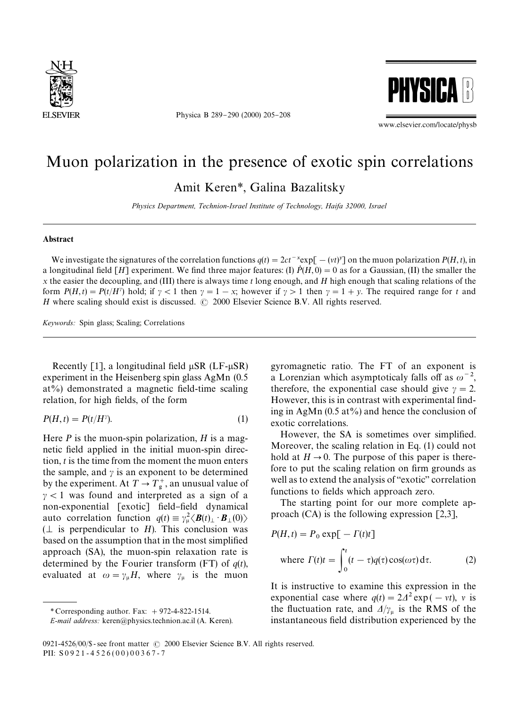

Physica B 289-290 (2000) 205-208



www.elsevier.com/locate/physb

## Muon polarization in the presence of exotic spin correlations

Amit Keren*\**, Galina Bazalitsky

*Physics Department, Technion-Israel Institute of Technology, Haifa 32000, Israel*

## Abstract

We investigate the signatures of the correlation functions  $q(t) = 2ct^{-x} \exp[-(vt)^{y}]$  on the muon polarization  $P(H, t)$ , in a longitudinal field  $[H]$  experiment. We find three major features: (I)  $P(H, 0) = 0$  as for a Gaussian, (II) the smaller the *x* the easier the decoupling, and (III) there is always time *t* long enough, and *H* high enough that scaling relations of the form  $P(H,t) = P(t/H^{\gamma})$  hold; if  $\gamma < 1$  then  $\gamma = 1 - x$ ; however if  $\gamma > 1$  then  $\gamma = 1 + y$ . The required range for *t* and *H* where scaling should exist is discussed.  $\circ$  2000 Elsevier Science B.V. All rights reserved.

*Keywords:* Spin glass; Scaling; Correlations

Recently [1], a longitudinal field  $\mu$ SR (LF- $\mu$ SR) experiment in the Heisenberg spin glass AgMn (0.5  $at\%$ ) demonstrated a magnetic field-time scaling relation, for high fields, of the form

$$
P(H,t) = P(t/H^{\gamma}).
$$
\n(1)

Here *P* is the muon-spin polarization, *H* is a magnetic field applied in the initial muon-spin direction, *t* is the time from the moment the muon enters the sample, and  $\gamma$  is an exponent to be determined by the experiment. At  $T \rightarrow T_g^+$ , an unusual value of  $\gamma$  < 1 was found and interpreted as a sign of a non-exponential [exotic] field-field dynamical auto correlation function  $q(t) \equiv \gamma_{\mu}^2 \langle \mathbf{B}(t)_{\perp} \cdot \mathbf{B}_{\perp}(0) \rangle$  $(\perp$  is perpendicular to *H*). This conclusion was based on the assumption that in the most simplified approach (SA), the muon-spin relaxation rate is determined by the Fourier transform (FT) of *q*(*t*), evaluated at  $\omega = \gamma_{\mu} H$ , where  $\gamma_{\mu}$  is the muon

gyromagnetic ratio. The FT of an exponent is a Lorenzian which asymptoticaly falls off as  $\omega^{-2}$ , therefore, the exponential case should give  $\gamma = 2$ . However, this is in contrast with experimental finding in AgMn  $(0.5 \text{ at} \%)$  and hence the conclusion of exotic correlations.

However, the SA is sometimes over simplified. Moreover, the scaling relation in Eq. (1) could not hold at  $H\rightarrow 0$ . The purpose of this paper is therefore to put the scaling relation on firm grounds as well as to extend the analysis of "exotic" correlation functions to fields which approach zero.

The starting point for our more complete approach (CA) is the following expression [2,3],

$$
P(H, t) = P_0 \exp[-\Gamma(t)t]
$$
  
where  $\Gamma(t)t = \int_0^t (t - \tau)q(\tau)\cos(\omega \tau) d\tau$ . (2)

It is instructive to examine this expression in the exponential case where  $q(t) = 2\Delta^2 \exp(-vt)$ , v is the fluctuation rate, and  $\Delta/\gamma_{\mu}$  is the RMS of the instantaneous field distribution experienced by the

 $*$  Corresponding author. Fax:  $+972-4-822-1514$ .

*E-mail address:* keren@physics.technion.ac.il (A. Keren).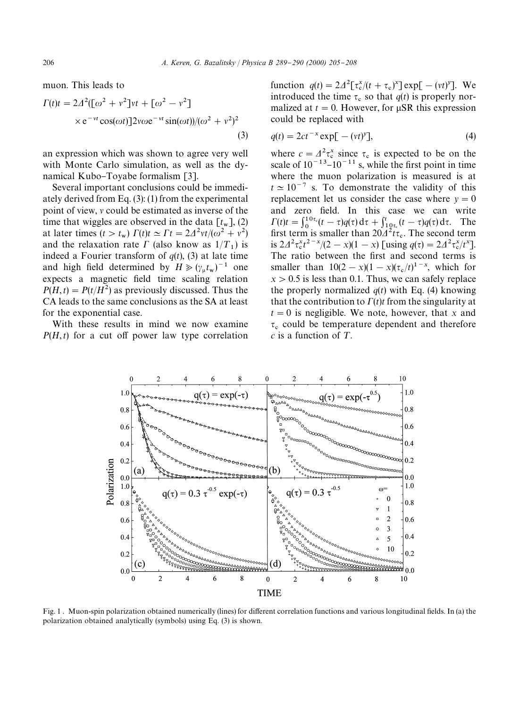muon. This leads to

$$
\Gamma(t)t = 2\Delta^2([\omega^2 + v^2]vt + [\omega^2 - v^2]
$$
  
×e<sup>-vt</sup> cos( $\omega t$ )]2 $v\omega$ e<sup>-vt</sup> sin( $\omega t$ )/( $\omega^2 + v^2$ )<sup>2</sup> (3)

an expression which was shown to agree very well with Monte Carlo simulation, as well as the dynamical Kubo-Toyabe formalism [3].

Several important conclusions could be immediately derived from Eq. (3): (1) from the experimental point of view,  $\nu$  could be estimated as inverse of the time that wiggles are observed in the data  $[t<sub>w</sub>], (2)$ at later times  $(t > t_w) \Gamma(t) \underline{t} \simeq \Gamma t = 2\Delta^2 vt / (\omega^2 + v^2)$ and the relaxation rate  $\Gamma$  (also know as  $1/T_1$ ) is indeed a Fourier transform of  $q(t)$ , (3) at late time and high field determined by  $H \ge (\gamma_{\mu} t_{\rm w})^{-1}$  one expects a magnetic field time scaling relation  $P(H,t) = P(t/H^2)$  as previously discussed. Thus the CA leads to the same conclusions as the SA at least for the exponential case.

With these results in mind we now examine  $P(H,t)$  for a cut off power law type correlation

function  $q(t) = 2\Delta^2 \left[\tau_{c}^x/(t + \tau_c)^x\right] \exp[-(vt)^y]$ . We introduced the time  $\tau_c$  so that  $q(t)$  is properly normalized at  $t = 0$ . However, for  $\mu$ SR this expression could be replaced with

$$
q(t) = 2ct^{-x} \exp[-(vt)^y],\tag{4}
$$

where  $c = A^2 \tau_s^x$  since  $\tau_s$  is expected to be on the scale of  $10^{-13}$ – $10^{-11}$  s, while the first point in time where the muon polarization is measured is at  $t \approx 10^{-7}$  s. To demonstrate the validity of this replacement let us consider the case where  $y = 0$ and zero field. In this case we can write  $\Gamma(t)t = \int_0^{10\tau_c}(t-\tau)q(\tau) d\tau + \int_{10\tau_c}^{t}(t-\tau)q(\tau) d\tau$ . The first term is smaller than  $20\frac{\lambda^2 t \tau_c}{\tau_c}$ . The second term is  $2\Delta^2 \tau_c^x t^{2-x}/(2-x)(1-x)$  [using  $q(\tau) = 2\Delta^2 \tau_c^x/t^x$ ]. The ratio between the first and second terms is smaller than  $10(2-x)(1-x)(\tau_c/t)^{1-x}$ , which for  $x > 0.5$  is less than 0.1. Thus, we can safely replace the properly normalized  $q(t)$  with Eq. (4) knowing that the contribution to  $\Gamma(t)t$  from the singularity at  $t = 0$  is negligible. We note, however, that *x* and  $\tau_c$  could be temperature dependent and therefore *c* is a function of T.



Fig. 1. Muon-spin polarization obtained numerically (lines) for different correlation functions and various longitudinal fields. In (a) the polarization obtained analytically (symbols) using Eq. (3) is shown.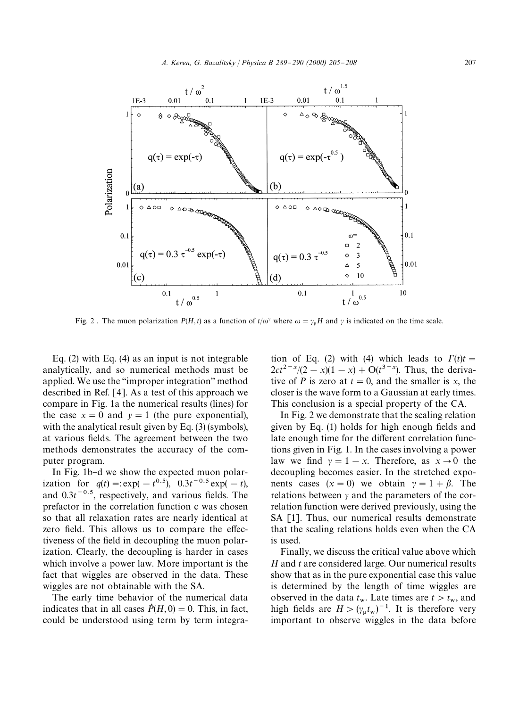

Fig. 2. The muon polarization  $P(H, t)$  as a function of  $t/\omega^{\gamma}$  where  $\omega = \gamma_{\mu}H$  and  $\gamma$  is indicated on the time scale.

Eq. (2) with Eq. (4) as an input is not integrable analytically, and so numerical methods must be applied. We use the "improper integration" method described in Ref. [4]. As a test of this approach we compare in Fig. 1a the numerical results (lines) for the case  $x = 0$  and  $y = 1$  (the pure exponential), with the analytical result given by Eq. (3) (symbols), at various fields. The agreement between the two methods demonstrates the accuracy of the computer program.

In Fig. 1b-d we show the expected muon polarization for  $q(t) = \exp(-t^{0.5})$ ,  $0.3t^{-0.5} \exp(-t)$ , and  $0.3t^{-0.5}$ , respectively, and various fields. The prefactor in the correlation function c was chosen so that all relaxation rates are nearly identical at zero field. This allows us to compare the effectiveness of the field in decoupling the muon polarization. Clearly, the decoupling is harder in cases which involve a power law. More important is the fact that wiggles are observed in the data. These wiggles are not obtainable with the SA.

The early time behavior of the numerical data indicates that in all cases  $\dot{P}(H, 0) = 0$ . This, in fact, could be understood using term by term integration of Eq. (2) with (4) which leads to  $\Gamma(t)t =$  $2ct^{2-x}/(2-x)(1-x) + O(t^{3-x})$ . Thus, the derivative of *P* is zero at  $t = 0$ , and the smaller is *x*, the closer is the wave form to a Gaussian at early times. This conclusion is a special property of the CA.

In Fig. 2 we demonstrate that the scaling relation given by Eq.  $(1)$  holds for high enough fields and late enough time for the different correlation functions given in Fig. 1. In the cases involving a power law we find  $\gamma = 1 - x$ . Therefore, as  $x \to 0$  the decoupling becomes easier. In the stretched exponents cases  $(x = 0)$  we obtain  $y = 1 + \beta$ . The relations between  $\gamma$  and the parameters of the correlation function were derived previously, using the SA [1]. Thus, our numerical results demonstrate that the scaling relations holds even when the CA is used.

Finally, we discuss the critical value above which *H* and *t* are considered large. Our numerical results show that as in the pure exponential case this value is determined by the length of time wiggles are observed in the data  $t_w$ . Late times are  $t > t_w$ , and high fields are  $H > (\gamma_{\mu} t_{\rm w})^{-1}$ . It is therefore very important to observe wiggles in the data before